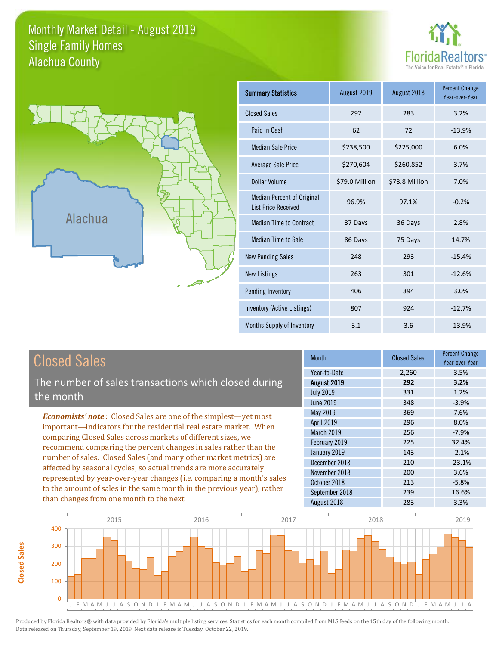#### Monthly Market Detail - August 2019 Alachua County Single Family Homes





| <b>Summary Statistics</b>                                       | August 2019    | August 2018    | <b>Percent Change</b><br>Year-over-Year |
|-----------------------------------------------------------------|----------------|----------------|-----------------------------------------|
| <b>Closed Sales</b>                                             | 292            | 283            | 3.2%                                    |
| Paid in Cash                                                    | 62             | 72             | $-13.9%$                                |
| <b>Median Sale Price</b>                                        | \$238,500      | \$225,000      | 6.0%                                    |
| <b>Average Sale Price</b>                                       | \$270,604      | \$260,852      | 3.7%                                    |
| Dollar Volume                                                   | \$79.0 Million | \$73.8 Million | 7.0%                                    |
| <b>Median Percent of Original</b><br><b>List Price Received</b> | 96.9%          | 97.1%          | $-0.2%$                                 |
| <b>Median Time to Contract</b>                                  | 37 Days        | 36 Days        | 2.8%                                    |
| Median Time to Sale                                             | 86 Days        | 75 Days        | 14.7%                                   |
| <b>New Pending Sales</b>                                        | 248            | 293            | $-15.4%$                                |
| <b>New Listings</b>                                             | 263            | 301            | $-12.6%$                                |
| Pending Inventory                                               | 406            | 394            | 3.0%                                    |
| Inventory (Active Listings)                                     | 807            | 924            | $-12.7%$                                |
| Months Supply of Inventory                                      | 3.1            | 3.6            | $-13.9%$                                |

| <b>Closed Sales</b>                                                                                                                                                                                                                                                                                                                                                                                                                                                                                                                                                                                                      | <b>Month</b>                                                                                                                                                           | <b>Closed Sales</b>                                                | <b>Percent Change</b><br>Year-over-Year                                                     |
|--------------------------------------------------------------------------------------------------------------------------------------------------------------------------------------------------------------------------------------------------------------------------------------------------------------------------------------------------------------------------------------------------------------------------------------------------------------------------------------------------------------------------------------------------------------------------------------------------------------------------|------------------------------------------------------------------------------------------------------------------------------------------------------------------------|--------------------------------------------------------------------|---------------------------------------------------------------------------------------------|
| The number of sales transactions which closed during<br>the month                                                                                                                                                                                                                                                                                                                                                                                                                                                                                                                                                        | Year-to-Date<br>August 2019<br><b>July 2019</b><br><b>June 2019</b>                                                                                                    | 2,260<br>292<br>331<br>348                                         | 3.5%<br>3.2%<br>1.2%<br>$-3.9%$                                                             |
| <b>Economists' note:</b> Closed Sales are one of the simplest—yet most<br>important—indicators for the residential real estate market. When<br>comparing Closed Sales across markets of different sizes, we<br>recommend comparing the percent changes in sales rather than the<br>number of sales. Closed Sales (and many other market metrics) are<br>affected by seasonal cycles, so actual trends are more accurately<br>represented by year-over-year changes (i.e. comparing a month's sales<br>to the amount of sales in the same month in the previous year), rather<br>than changes from one month to the next. | May 2019<br><b>April 2019</b><br><b>March 2019</b><br>February 2019<br>January 2019<br>December 2018<br>November 2018<br>October 2018<br>September 2018<br>August 2018 | 369<br>296<br>256<br>225<br>143<br>210<br>200<br>213<br>239<br>283 | 7.6%<br>8.0%<br>$-7.9%$<br>32.4%<br>$-2.1%$<br>$-23.1%$<br>3.6%<br>$-5.8%$<br>16.6%<br>3.3% |



**Closed Sales**

**Closed Sales**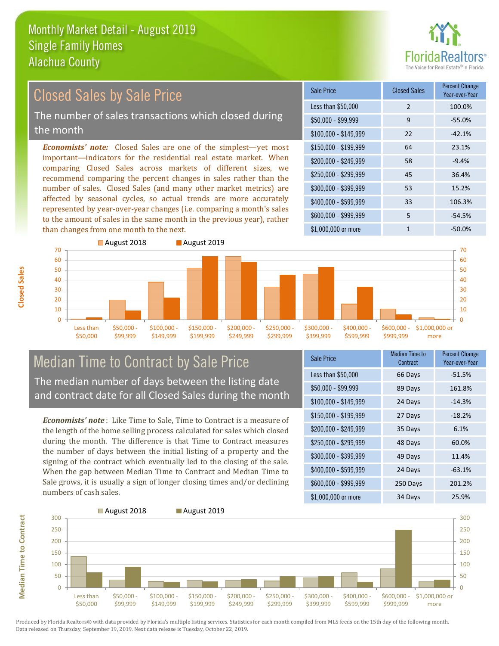

## Closed Sales by Sale Price

The number of sales transactions which closed during the month

*Economists' note:* Closed Sales are one of the simplest—yet most important—indicators for the residential real estate market. When comparing Closed Sales across markets of different sizes, we recommend comparing the percent changes in sales rather than the number of sales. Closed Sales (and many other market metrics) are affected by seasonal cycles, so actual trends are more accurately represented by year-over-year changes (i.e. comparing a month's sales to the amount of sales in the same month in the previous year), rather than changes from one month to the next.

| Sale Price            | <b>Closed Sales</b> | <b>Percent Change</b><br>Year-over-Year |
|-----------------------|---------------------|-----------------------------------------|
| Less than \$50,000    | $\mathcal{P}$       | 100.0%                                  |
| $$50,000 - $99,999$   | 9                   | $-55.0%$                                |
| $$100,000 - $149,999$ | 22                  | $-42.1%$                                |
| $$150,000 - $199,999$ | 64                  | 23.1%                                   |
| \$200,000 - \$249,999 | 58                  | $-9.4%$                                 |
| \$250,000 - \$299,999 | 45                  | 36.4%                                   |
| \$300,000 - \$399,999 | 53                  | 15.2%                                   |
| \$400,000 - \$599,999 | 33                  | 106.3%                                  |
| \$600,000 - \$999,999 | 5                   | $-54.5%$                                |
| \$1,000,000 or more   | 1                   | $-50.0\%$                               |



### Median Time to Contract by Sale Price The median number of days between the listing date

and contract date for all Closed Sales during the month

*Economists' note* : Like Time to Sale, Time to Contract is a measure of the length of the home selling process calculated for sales which closed during the month. The difference is that Time to Contract measures the number of days between the initial listing of a property and the signing of the contract which eventually led to the closing of the sale. When the gap between Median Time to Contract and Median Time to Sale grows, it is usually a sign of longer closing times and/or declining numbers of cash sales.

| <b>Sale Price</b>     | Median Time to<br>Contract | <b>Percent Change</b><br>Year-over-Year |
|-----------------------|----------------------------|-----------------------------------------|
| Less than \$50,000    | 66 Days                    | $-51.5%$                                |
| $$50,000 - $99,999$   | 89 Days                    | 161.8%                                  |
| $$100,000 - $149,999$ | 24 Days                    | $-14.3%$                                |
| $$150,000 - $199,999$ | 27 Days                    | $-18.2%$                                |
| \$200,000 - \$249,999 | 35 Days                    | 6.1%                                    |
| \$250,000 - \$299,999 | 48 Days                    | 60.0%                                   |
| \$300,000 - \$399,999 | 49 Days                    | 11.4%                                   |
| \$400,000 - \$599,999 | 24 Days                    | $-63.1%$                                |
| \$600,000 - \$999,999 | 250 Days                   | 201.2%                                  |
| \$1,000,000 or more   | 34 Days                    | 25.9%                                   |



**Median Time to Contract**

**Median Time to Contract**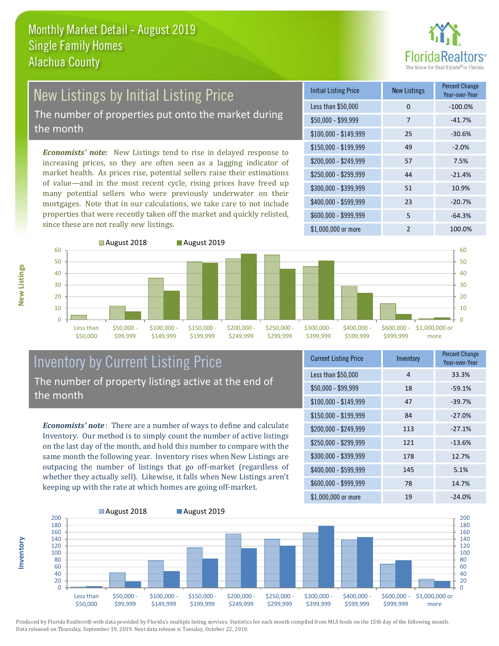

## New Listings by Initial Listing Price

The number of properties put onto the market during the month

*Economists' note:* New Listings tend to rise in delayed response to increasing prices, so they are often seen as a lagging indicator of market health. As prices rise, potential sellers raise their estimations of value—and in the most recent cycle, rising prices have freed up many potential sellers who were previously underwater on their mortgages. Note that in our calculations, we take care to not include properties that were recently taken off the market and quickly relisted, since these are not really *new* listings.

| <b>Initial Listing Price</b> | <b>New Listings</b> | <b>Percent Change</b><br>Year-over-Year |
|------------------------------|---------------------|-----------------------------------------|
| Less than \$50,000           | 0                   | $-100.0%$                               |
| $$50,000 - $99,999$          | 7                   | $-41.7%$                                |
| $$100,000 - $149,999$        | 25                  | $-30.6%$                                |
| $$150,000 - $199,999$        | 49                  | $-2.0%$                                 |
| \$200,000 - \$249,999        | 57                  | 7.5%                                    |
| \$250,000 - \$299,999        | 44                  | $-21.4%$                                |
| \$300,000 - \$399,999        | 51                  | 10.9%                                   |
| \$400,000 - \$599,999        | 23                  | $-20.7%$                                |
| \$600,000 - \$999,999        | 5                   | $-64.3%$                                |
| \$1,000,000 or more          | $\mathfrak{p}$      | 100.0%                                  |



#### Inventory by Current Listing Price The number of property listings active at the end of the month

*Economists' note* : There are a number of ways to define and calculate Inventory. Our method is to simply count the number of active listings on the last day of the month, and hold this number to compare with the same month the following year. Inventory rises when New Listings are outpacing the number of listings that go off-market (regardless of whether they actually sell). Likewise, it falls when New Listings aren't keeping up with the rate at which homes are going off-market.

| <b>Current Listing Price</b> | Inventory | Percent Change<br>Year-over-Year |
|------------------------------|-----------|----------------------------------|
| Less than \$50,000           | 4         | 33.3%                            |
| \$50,000 - \$99,999          | 18        | $-59.1%$                         |
| $$100,000 - $149,999$        | 47        | $-39.7%$                         |
| $$150,000 - $199,999$        | 84        | $-27.0%$                         |
| \$200,000 - \$249,999        | 113       | $-27.1%$                         |
| \$250,000 - \$299,999        | 121       | $-13.6%$                         |
| \$300,000 - \$399,999        | 178       | 12.7%                            |
| \$400,000 - \$599,999        | 145       | 5.1%                             |
| \$600,000 - \$999,999        | 78        | 14.7%                            |
| \$1,000,000 or more          | 19        | $-24.0%$                         |



**New Listings**

**Inventory**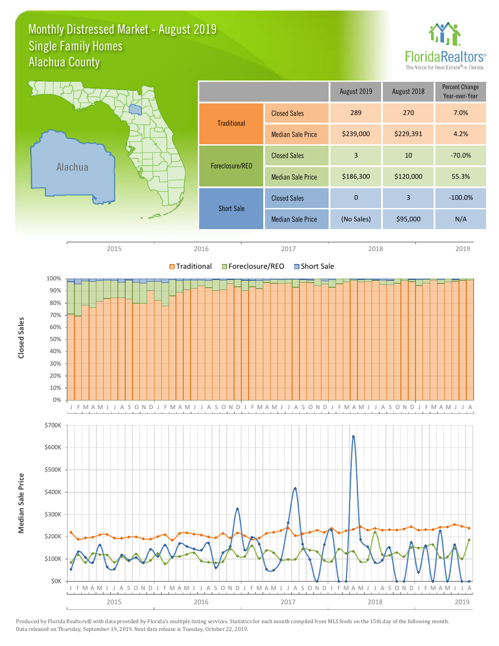#### Monthly Distressed Market - August 2019 Alachua County Single Family Homes



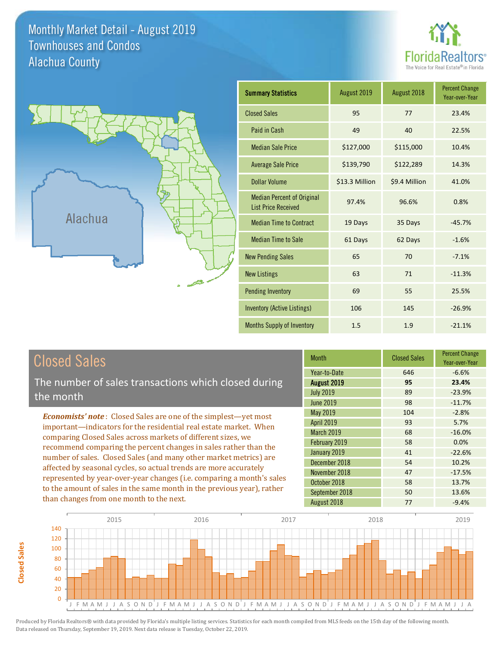Monthly Market Detail - August 2019 Alachua County Townhouses and Condos





**Closed Sales**

**Closed Sales** 

| <b>Summary Statistics</b>                                       | August 2019    | August 2018   | <b>Percent Change</b><br>Year-over-Year |
|-----------------------------------------------------------------|----------------|---------------|-----------------------------------------|
| <b>Closed Sales</b>                                             | 95             | 77            | 23.4%                                   |
| Paid in Cash                                                    | 49             | 40            | 22.5%                                   |
| <b>Median Sale Price</b>                                        | \$127,000      | \$115,000     | 10.4%                                   |
| <b>Average Sale Price</b>                                       | \$139,790      | \$122,289     | 14.3%                                   |
| Dollar Volume                                                   | \$13.3 Million | \$9.4 Million | 41.0%                                   |
| <b>Median Percent of Original</b><br><b>List Price Received</b> | 97.4%          | 96.6%         | 0.8%                                    |
| <b>Median Time to Contract</b>                                  | 19 Days        | 35 Days       | $-45.7%$                                |
| <b>Median Time to Sale</b>                                      | 61 Days        | 62 Days       | $-1.6%$                                 |
| <b>New Pending Sales</b>                                        | 65             | 70            | $-7.1%$                                 |
| <b>New Listings</b>                                             | 63             | 71            | $-11.3%$                                |
| <b>Pending Inventory</b>                                        | 69             | 55            | 25.5%                                   |
| <b>Inventory (Active Listings)</b>                              | 106            | 145           | $-26.9%$                                |
| <b>Months Supply of Inventory</b>                               | 1.5            | 1.9           | $-21.1%$                                |

| <b>Closed Sales</b>                                                    | <b>Month</b>      | <b>Closed Sales</b> | <b>Percent Change</b><br>Year-over-Year |
|------------------------------------------------------------------------|-------------------|---------------------|-----------------------------------------|
|                                                                        | Year-to-Date      | 646                 | $-6.6%$                                 |
| The number of sales transactions which closed during                   | August 2019       | 95                  | 23.4%                                   |
| the month                                                              | <b>July 2019</b>  | 89                  | $-23.9%$                                |
|                                                                        | <b>June 2019</b>  | 98                  | $-11.7%$                                |
| <b>Economists' note:</b> Closed Sales are one of the simplest—yet most | May 2019          | 104                 | $-2.8%$                                 |
| important—indicators for the residential real estate market. When      | <b>April 2019</b> | 93                  | 5.7%                                    |
| comparing Closed Sales across markets of different sizes, we           | March 2019        | 68                  | $-16.0%$                                |
| recommend comparing the percent changes in sales rather than the       | February 2019     | 58                  | 0.0%                                    |
|                                                                        | January 2019      | 41                  | $-22.6%$                                |
| number of sales. Closed Sales (and many other market metrics) are      | December 2018     | 54                  | 10.2%                                   |
| affected by seasonal cycles, so actual trends are more accurately      | November 2018     | 47                  | $-17.5%$                                |
| represented by year-over-year changes (i.e. comparing a month's sales  | October 2018      | 58                  | 13.7%                                   |
| to the amount of sales in the same month in the previous year), rather | September 2018    | 50                  | 13.6%                                   |
| than changes from one month to the next.                               | August 2018       | 77                  | $-9.4%$                                 |

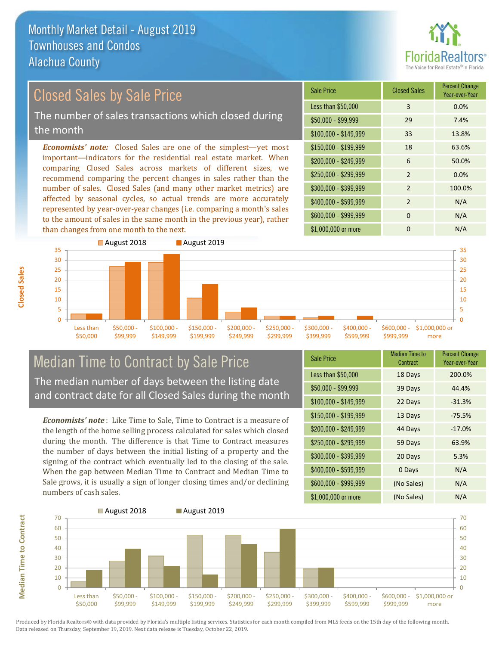

### Closed Sales by Sale Price

The number of sales transactions which closed during the month

*Economists' note:* Closed Sales are one of the simplest—yet most important—indicators for the residential real estate market. When comparing Closed Sales across markets of different sizes, we recommend comparing the percent changes in sales rather than the number of sales. Closed Sales (and many other market metrics) are affected by seasonal cycles, so actual trends are more accurately represented by year-over-year changes (i.e. comparing a month's sales to the amount of sales in the same month in the previous year), rather than changes from one month to the next.

| Sale Price            | <b>Closed Sales</b> | <b>Percent Change</b><br>Year-over-Year |
|-----------------------|---------------------|-----------------------------------------|
| Less than \$50,000    | 3                   | 0.0%                                    |
| \$50,000 - \$99,999   | 29                  | 7.4%                                    |
| $$100,000 - $149,999$ | 33                  | 13.8%                                   |
| $$150,000 - $199,999$ | 18                  | 63.6%                                   |
| \$200,000 - \$249,999 | 6                   | 50.0%                                   |
| \$250,000 - \$299,999 | $\mathcal{P}$       | 0.0%                                    |
| \$300,000 - \$399,999 | $\overline{2}$      | 100.0%                                  |
| \$400,000 - \$599,999 | 2                   | N/A                                     |
| \$600,000 - \$999,999 | <sup>0</sup>        | N/A                                     |
| \$1,000,000 or more   | O                   | N/A                                     |



#### Median Time to Contract by Sale Price The median number of days between the listing date and contract date for all Closed Sales during the month

*Economists' note* : Like Time to Sale, Time to Contract is a measure of the length of the home selling process calculated for sales which closed during the month. The difference is that Time to Contract measures the number of days between the initial listing of a property and the signing of the contract which eventually led to the closing of the sale. When the gap between Median Time to Contract and Median Time to Sale grows, it is usually a sign of longer closing times and/or declining numbers of cash sales.

| <b>Sale Price</b>     | <b>Median Time to</b><br>Contract | <b>Percent Change</b><br>Year-over-Year |
|-----------------------|-----------------------------------|-----------------------------------------|
| Less than \$50,000    | 18 Days                           | 200.0%                                  |
| \$50,000 - \$99,999   | 39 Days                           | 44.4%                                   |
| $$100,000 - $149,999$ | 22 Days                           | $-31.3%$                                |
| $$150,000 - $199,999$ | 13 Days                           | $-75.5%$                                |
| \$200,000 - \$249,999 | 44 Days                           | $-17.0%$                                |
| \$250,000 - \$299,999 | 59 Days                           | 63.9%                                   |
| \$300,000 - \$399,999 | 20 Days                           | 5.3%                                    |
| \$400,000 - \$599,999 | 0 Days                            | N/A                                     |
| \$600,000 - \$999,999 | (No Sales)                        | N/A                                     |
| \$1,000,000 or more   | (No Sales)                        | N/A                                     |



**Closed Sales**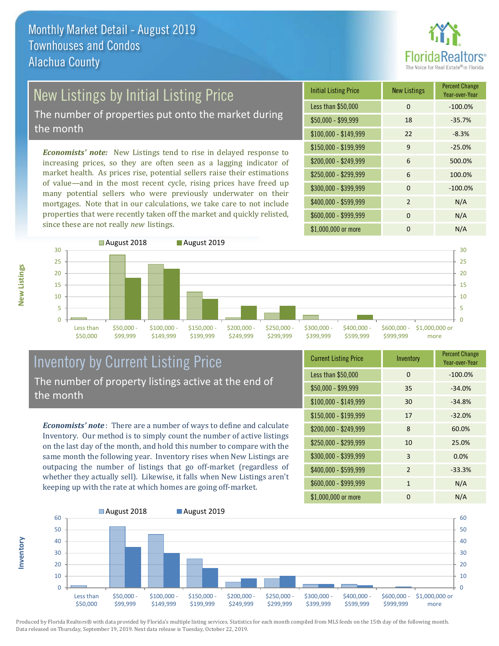![](_page_6_Picture_1.jpeg)

## New Listings by Initial Listing Price

The number of properties put onto the market during the month

*Economists' note:* New Listings tend to rise in delayed response to increasing prices, so they are often seen as a lagging indicator of market health. As prices rise, potential sellers raise their estimations of value—and in the most recent cycle, rising prices have freed up many potential sellers who were previously underwater on their mortgages. Note that in our calculations, we take care to not include properties that were recently taken off the market and quickly relisted, since these are not really *new* listings.

| <b>Initial Listing Price</b> | <b>New Listings</b> | <b>Percent Change</b><br>Year-over-Year |
|------------------------------|---------------------|-----------------------------------------|
| Less than \$50,000           | $\Omega$            | $-100.0%$                               |
| \$50,000 - \$99,999          | 18                  | $-35.7%$                                |
| $$100,000 - $149,999$        | 22                  | $-8.3%$                                 |
| $$150,000 - $199,999$        | 9                   | $-25.0%$                                |
| \$200,000 - \$249,999        | 6                   | 500.0%                                  |
| \$250,000 - \$299,999        | 6                   | 100.0%                                  |
| \$300,000 - \$399,999        | $\Omega$            | $-100.0%$                               |
| \$400,000 - \$599,999        | $\mathcal{P}$       | N/A                                     |
| \$600,000 - \$999,999        | $\Omega$            | N/A                                     |
| \$1,000,000 or more          | ŋ                   | N/A                                     |

![](_page_6_Figure_6.jpeg)

#### Inventory by Current Listing Price The number of property listings active at the end of the month

*Economists' note* : There are a number of ways to define and calculate Inventory. Our method is to simply count the number of active listings on the last day of the month, and hold this number to compare with the same month the following year. Inventory rises when New Listings are outpacing the number of listings that go off-market (regardless of whether they actually sell). Likewise, it falls when New Listings aren't keeping up with the rate at which homes are going off-market.

| <b>Current Listing Price</b> | Inventory      | <b>Percent Change</b><br>Year-over-Year |
|------------------------------|----------------|-----------------------------------------|
| Less than \$50,000           | 0              | $-100.0%$                               |
| $$50,000 - $99,999$          | 35             | $-34.0%$                                |
| $$100,000 - $149,999$        | 30             | $-34.8%$                                |
| $$150,000 - $199,999$        | 17             | $-32.0%$                                |
| \$200,000 - \$249,999        | 8              | 60.0%                                   |
| \$250,000 - \$299,999        | 10             | 25.0%                                   |
| \$300,000 - \$399,999        | 3              | 0.0%                                    |
| $$400,000 - $599,999$        | $\overline{2}$ | $-33.3%$                                |
| \$600,000 - \$999,999        | $\mathbf{1}$   | N/A                                     |
| \$1,000,000 or more          | 0              | N/A                                     |

![](_page_6_Figure_10.jpeg)

Produced by Florida Realtors® with data provided by Florida's multiple listing services. Statistics for each month compiled from MLS feeds on the 15th day of the following month. Data released on Thursday, September 19, 2019. Next data release is Tuesday, October 22, 2019.

**Inventory**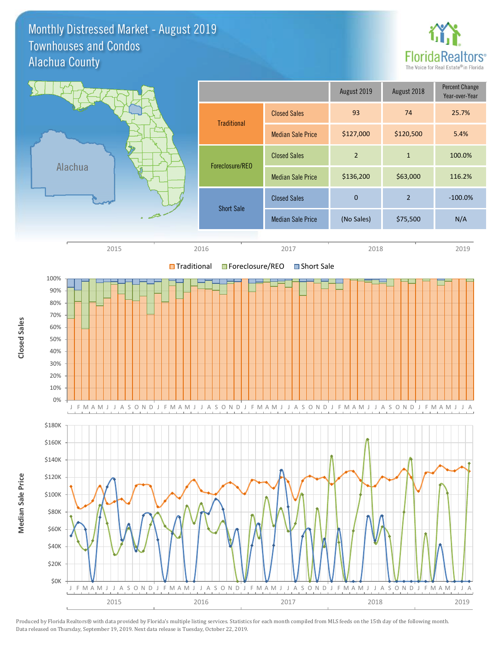#### Monthly Distressed Market - August 2019 Alachua County Townhouses and Condos

![](_page_7_Picture_1.jpeg)

![](_page_7_Figure_2.jpeg)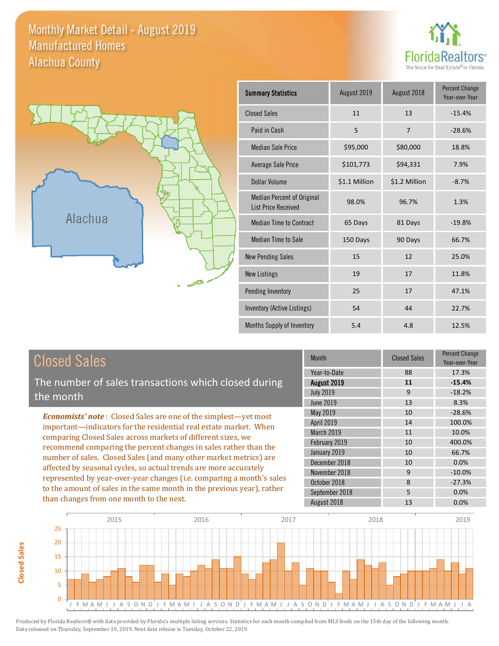#### Monthly Market Detail - August 2019 Alachua County Manufactured Homes

![](_page_8_Picture_1.jpeg)

![](_page_8_Figure_2.jpeg)

**Closed Sales**

**Closed Sales** 

| <b>Summary Statistics</b>                                       | August 2019   | August 2018    | <b>Percent Change</b><br>Year-over-Year |
|-----------------------------------------------------------------|---------------|----------------|-----------------------------------------|
| <b>Closed Sales</b>                                             | 11            | 13             | $-15.4%$                                |
| Paid in Cash                                                    | 5             | $\overline{7}$ | $-28.6%$                                |
| <b>Median Sale Price</b>                                        | \$95,000      | \$80,000       | 18.8%                                   |
| Average Sale Price                                              | \$101,773     | \$94,331       | 7.9%                                    |
| Dollar Volume                                                   | \$1.1 Million | \$1.2 Million  | $-8.7%$                                 |
| <b>Median Percent of Original</b><br><b>List Price Received</b> | 98.0%         | 96.7%          | 1.3%                                    |
| <b>Median Time to Contract</b>                                  | 65 Days       | 81 Days        | $-19.8%$                                |
| <b>Median Time to Sale</b>                                      | 150 Days      | 90 Days        | 66.7%                                   |
| <b>New Pending Sales</b>                                        | 15            | 12             | 25.0%                                   |
| <b>New Listings</b>                                             | 19            | 17             | 11.8%                                   |
| Pending Inventory                                               | 25            | 17             | 47.1%                                   |
| Inventory (Active Listings)                                     | 54            | 44             | 22.7%                                   |
| Months Supply of Inventory                                      | 5.4           | 4.8            | 12.5%                                   |

| <b>Closed Sales</b>                                                    | <b>Month</b>      | <b>Closed Sales</b> | Percent Change<br>Year-over-Year |
|------------------------------------------------------------------------|-------------------|---------------------|----------------------------------|
|                                                                        | Year-to-Date      | 88                  | 17.3%                            |
| The number of sales transactions which closed during                   | August 2019       | 11                  | $-15.4%$                         |
| the month                                                              | <b>July 2019</b>  | 9                   | $-18.2%$                         |
|                                                                        | June 2019         | 13                  | 8.3%                             |
| <b>Economists' note:</b> Closed Sales are one of the simplest—yet most | May 2019          | 10                  | $-28.6%$                         |
| important—indicators for the residential real estate market. When      | <b>April 2019</b> | 14                  | 100.0%                           |
| comparing Closed Sales across markets of different sizes, we           | <b>March 2019</b> | 11                  | 10.0%                            |
| recommend comparing the percent changes in sales rather than the       | February 2019     | 10                  | 400.0%                           |
| number of sales. Closed Sales (and many other market metrics) are      | January 2019      | 10                  | 66.7%                            |
|                                                                        | December 2018     | 10                  | 0.0%                             |
| affected by seasonal cycles, so actual trends are more accurately      | November 2018     | 9                   | $-10.0\%$                        |
| represented by year-over-year changes (i.e. comparing a month's sales  | October 2018      | 8                   | $-27.3%$                         |
| to the amount of sales in the same month in the previous year), rather | September 2018    | 5                   | 0.0%                             |
| than changes from one month to the next.                               | August 2018       | 13                  | 0.0%                             |

![](_page_8_Figure_5.jpeg)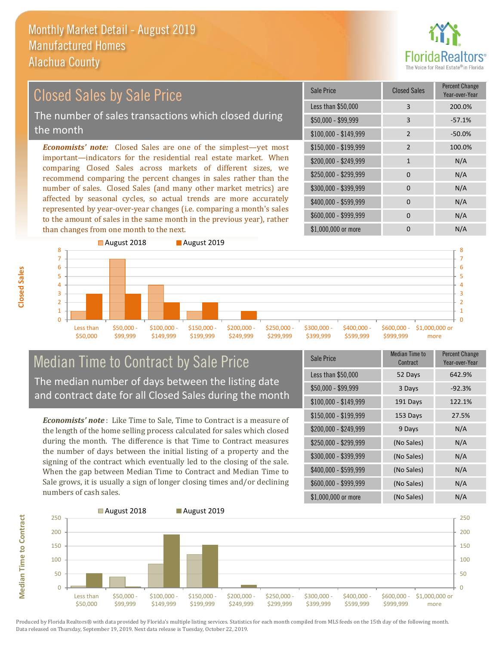![](_page_9_Picture_1.jpeg)

## Closed Sales by Sale Price

The number of sales transactions which closed during the month

*Economists' note:* Closed Sales are one of the simplest—yet most important—indicators for the residential real estate market. When comparing Closed Sales across markets of different sizes, we recommend comparing the percent changes in sales rather than the number of sales. Closed Sales (and many other market metrics) are affected by seasonal cycles, so actual trends are more accurately represented by year-over-year changes (i.e. comparing a month's sales to the amount of sales in the same month in the previous year), rather than changes from one month to the next.

| <b>Sale Price</b>     | <b>Closed Sales</b> | <b>Percent Change</b><br>Year-over-Year |
|-----------------------|---------------------|-----------------------------------------|
| Less than \$50,000    | 3                   | 200.0%                                  |
| $$50,000 - $99,999$   | 3                   | $-57.1%$                                |
| $$100,000 - $149,999$ | $\mathcal{P}$       | $-50.0%$                                |
| \$150,000 - \$199,999 | $\overline{2}$      | 100.0%                                  |
| \$200,000 - \$249,999 | $\mathbf{1}$        | N/A                                     |
| \$250,000 - \$299,999 | $\Omega$            | N/A                                     |
| \$300,000 - \$399,999 | 0                   | N/A                                     |
| \$400,000 - \$599,999 | $\Omega$            | N/A                                     |
| \$600,000 - \$999,999 | O                   | N/A                                     |
| \$1,000,000 or more   |                     | N/A                                     |

![](_page_9_Figure_6.jpeg)

#### Median Time to Contract by Sale Price The median number of days between the listing date and contract date for all Closed Sales during the month

*Economists' note* : Like Time to Sale, Time to Contract is a measure of the length of the home selling process calculated for sales which closed during the month. The difference is that Time to Contract measures the number of days between the initial listing of a property and the signing of the contract which eventually led to the closing of the sale. When the gap between Median Time to Contract and Median Time to Sale grows, it is usually a sign of longer closing times and/or declining numbers of cash sales.

| Sale Price            | <b>Median Time to</b><br>Contract | <b>Percent Change</b><br>Year-over-Year |
|-----------------------|-----------------------------------|-----------------------------------------|
| Less than \$50,000    | 52 Days                           | 642.9%                                  |
| \$50,000 - \$99,999   | 3 Days                            | $-92.3%$                                |
| $$100,000 - $149,999$ | 191 Days                          | 122.1%                                  |
| $$150,000 - $199,999$ | 153 Days                          | 27.5%                                   |
| \$200,000 - \$249,999 | 9 Days                            | N/A                                     |
| \$250,000 - \$299,999 | (No Sales)                        | N/A                                     |
| \$300,000 - \$399,999 | (No Sales)                        | N/A                                     |
| \$400,000 - \$599,999 | (No Sales)                        | N/A                                     |
| \$600,000 - \$999,999 | (No Sales)                        | N/A                                     |
| \$1,000,000 or more   | (No Sales)                        | N/A                                     |

![](_page_9_Figure_10.jpeg)

**Median Time to Contract Median Time to Contract**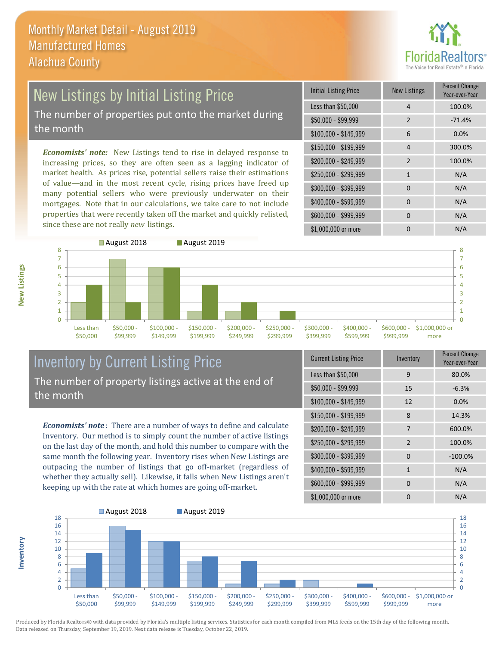![](_page_10_Picture_1.jpeg)

# New Listings by Initial Listing Price

The number of properties put onto the market during the month

*Economists' note:* New Listings tend to rise in delayed response to increasing prices, so they are often seen as a lagging indicator of market health. As prices rise, potential sellers raise their estimations of value—and in the most recent cycle, rising prices have freed up many potential sellers who were previously underwater on their mortgages. Note that in our calculations, we take care to not include properties that were recently taken off the market and quickly relisted, since these are not really *new* listings.

| <b>Initial Listing Price</b> | <b>New Listings</b> | <b>Percent Change</b><br>Year-over-Year |
|------------------------------|---------------------|-----------------------------------------|
| Less than \$50,000           | 4                   | 100.0%                                  |
| \$50,000 - \$99,999          | 2                   | $-71.4%$                                |
| $$100,000 - $149,999$        | 6                   | 0.0%                                    |
| $$150,000 - $199,999$        | 4                   | 300.0%                                  |
| \$200,000 - \$249,999        | $\mathcal{P}$       | 100.0%                                  |
| \$250,000 - \$299,999        | $\mathbf{1}$        | N/A                                     |
| \$300,000 - \$399,999        | 0                   | N/A                                     |
| \$400,000 - \$599,999        | $\Omega$            | N/A                                     |
| \$600,000 - \$999,999        | $\Omega$            | N/A                                     |
| \$1,000,000 or more          | ი                   | N/A                                     |

![](_page_10_Figure_6.jpeg)

#### Inventory by Current Listing Price The number of property listings active at the end of the month

*Economists' note* : There are a number of ways to define and calculate Inventory. Our method is to simply count the number of active listings on the last day of the month, and hold this number to compare with the same month the following year. Inventory rises when New Listings are outpacing the number of listings that go off-market (regardless of whether they actually sell). Likewise, it falls when New Listings aren't keeping up with the rate at which homes are going off-market.

|  | <b>Current Listing Price</b> | Inventory    | Percent Change<br>Year-over-Year |
|--|------------------------------|--------------|----------------------------------|
|  | Less than \$50,000           | 9            | 80.0%                            |
|  | $$50,000 - $99,999$          | 15           | $-6.3%$                          |
|  | $$100,000 - $149,999$        | 12           | 0.0%                             |
|  | $$150,000 - $199,999$        | 8            | 14.3%                            |
|  | \$200,000 - \$249,999        | 7            | 600.0%                           |
|  | \$250,000 - \$299,999        | 2            | 100.0%                           |
|  | \$300,000 - \$399,999        | $\Omega$     | $-100.0%$                        |
|  | \$400,000 - \$599,999        | $\mathbf{1}$ | N/A                              |
|  | \$600,000 - \$999,999        | $\Omega$     | N/A                              |
|  | \$1,000,000 or more          | 0            | N/A                              |

![](_page_10_Figure_10.jpeg)

Produced by Florida Realtors® with data provided by Florida's multiple listing services. Statistics for each month compiled from MLS feeds on the 15th day of the following month. Data released on Thursday, September 19, 2019. Next data release is Tuesday, October 22, 2019.

**Inventory**